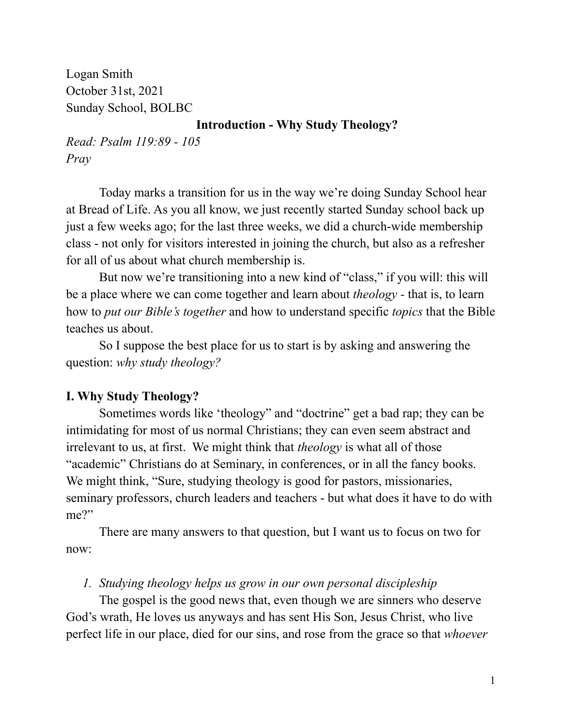Logan Smith October 31st, 2021 Sunday School, BOLBC

### **Introduction - Why Study Theology?**

*Read: Psalm 119:89 - 105 Pray*

Today marks a transition for us in the way we're doing Sunday School hear at Bread of Life. As you all know, we just recently started Sunday school back up just a few weeks ago; for the last three weeks, we did a church-wide membership class - not only for visitors interested in joining the church, but also as a refresher for all of us about what church membership is.

But now we're transitioning into a new kind of "class," if you will: this will be a place where we can come together and learn about *theology -* that is, to learn how to *put our Bible's together* and how to understand specific *topics* that the Bible teaches us about.

So I suppose the best place for us to start is by asking and answering the question: *why study theology?*

# **I. Why Study Theology?**

Sometimes words like 'theology" and "doctrine" get a bad rap; they can be intimidating for most of us normal Christians; they can even seem abstract and irrelevant to us, at first. We might think that *theology* is what all of those "academic" Christians do at Seminary, in conferences, or in all the fancy books. We might think, "Sure, studying theology is good for pastors, missionaries, seminary professors, church leaders and teachers - but what does it have to do with me?"

There are many answers to that question, but I want us to focus on two for now:

## *1. Studying theology helps us grow in our own personal discipleship*

The gospel is the good news that, even though we are sinners who deserve God's wrath, He loves us anyways and has sent His Son, Jesus Christ, who live perfect life in our place, died for our sins, and rose from the grace so that *whoever*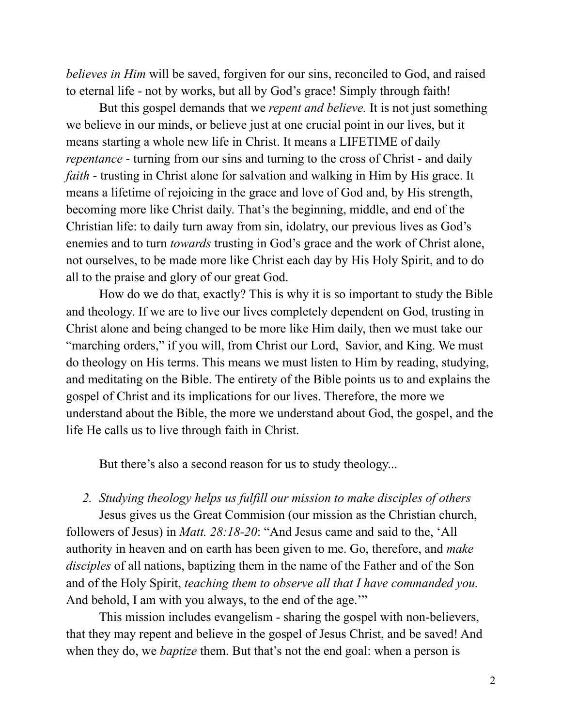*believes in Him* will be saved, forgiven for our sins, reconciled to God, and raised to eternal life - not by works, but all by God's grace! Simply through faith!

But this gospel demands that we *repent and believe.* It is not just something we believe in our minds, or believe just at one crucial point in our lives, but it means starting a whole new life in Christ. It means a LIFETIME of daily *repentance* - turning from our sins and turning to the cross of Christ - and daily *faith* - trusting in Christ alone for salvation and walking in Him by His grace. It means a lifetime of rejoicing in the grace and love of God and, by His strength, becoming more like Christ daily. That's the beginning, middle, and end of the Christian life: to daily turn away from sin, idolatry, our previous lives as God's enemies and to turn *towards* trusting in God's grace and the work of Christ alone, not ourselves, to be made more like Christ each day by His Holy Spirit, and to do all to the praise and glory of our great God.

How do we do that, exactly? This is why it is so important to study the Bible and theology. If we are to live our lives completely dependent on God, trusting in Christ alone and being changed to be more like Him daily, then we must take our "marching orders," if you will, from Christ our Lord, Savior, and King. We must do theology on His terms. This means we must listen to Him by reading, studying, and meditating on the Bible. The entirety of the Bible points us to and explains the gospel of Christ and its implications for our lives. Therefore, the more we understand about the Bible, the more we understand about God, the gospel, and the life He calls us to live through faith in Christ.

But there's also a second reason for us to study theology...

### *2. Studying theology helps us fulfill our mission to make disciples of others*

Jesus gives us the Great Commision (our mission as the Christian church, followers of Jesus) in *Matt. 28:18-20*: "And Jesus came and said to the, 'All authority in heaven and on earth has been given to me. Go, therefore, and *make disciples* of all nations, baptizing them in the name of the Father and of the Son and of the Holy Spirit, *teaching them to observe all that I have commanded you.* And behold, I am with you always, to the end of the age."

This mission includes evangelism - sharing the gospel with non-believers, that they may repent and believe in the gospel of Jesus Christ, and be saved! And when they do, we *baptize* them. But that's not the end goal: when a person is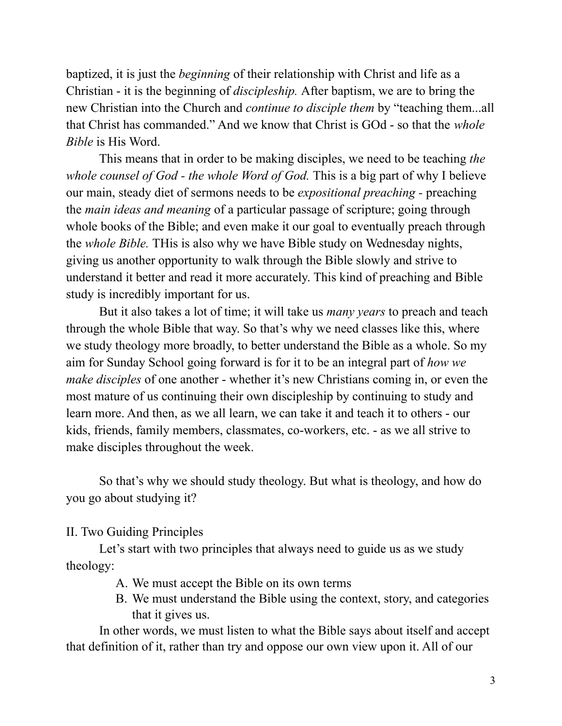baptized, it is just the *beginning* of their relationship with Christ and life as a Christian - it is the beginning of *discipleship.* After baptism, we are to bring the new Christian into the Church and *continue to disciple them* by "teaching them...all that Christ has commanded." And we know that Christ is GOd - so that the *whole Bible* is His Word.

This means that in order to be making disciples, we need to be teaching *the whole counsel of God - the whole Word of God.* This is a big part of why I believe our main, steady diet of sermons needs to be *expositional preaching -* preaching the *main ideas and meaning* of a particular passage of scripture; going through whole books of the Bible; and even make it our goal to eventually preach through the *whole Bible.* THis is also why we have Bible study on Wednesday nights, giving us another opportunity to walk through the Bible slowly and strive to understand it better and read it more accurately. This kind of preaching and Bible study is incredibly important for us.

But it also takes a lot of time; it will take us *many years* to preach and teach through the whole Bible that way. So that's why we need classes like this, where we study theology more broadly, to better understand the Bible as a whole. So my aim for Sunday School going forward is for it to be an integral part of *how we make disciples* of one another - whether it's new Christians coming in, or even the most mature of us continuing their own discipleship by continuing to study and learn more. And then, as we all learn, we can take it and teach it to others - our kids, friends, family members, classmates, co-workers, etc. - as we all strive to make disciples throughout the week.

So that's why we should study theology. But what is theology, and how do you go about studying it?

II. Two Guiding Principles

Let's start with two principles that always need to guide us as we study theology:

- A. We must accept the Bible on its own terms
- B. We must understand the Bible using the context, story, and categories that it gives us.

In other words, we must listen to what the Bible says about itself and accept that definition of it, rather than try and oppose our own view upon it. All of our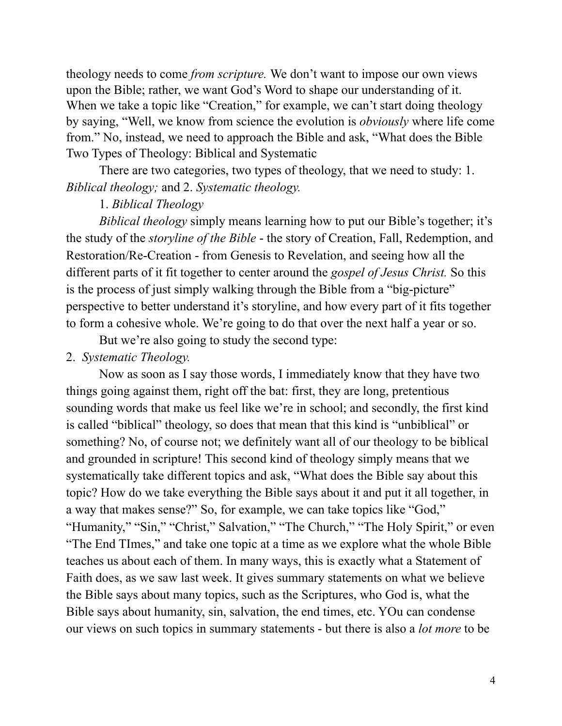theology needs to come *from scripture.* We don't want to impose our own views upon the Bible; rather, we want God's Word to shape our understanding of it. When we take a topic like "Creation," for example, we can't start doing theology by saying, "Well, we know from science the evolution is *obviously* where life come from." No, instead, we need to approach the Bible and ask, "What does the Bible Two Types of Theology: Biblical and Systematic

There are two categories, two types of theology, that we need to study: 1. *Biblical theology;* and 2. *Systematic theology.*

# 1. *Biblical Theology*

*Biblical theology* simply means learning how to put our Bible's together; it's the study of the *storyline of the Bible* - the story of Creation, Fall, Redemption, and Restoration/Re-Creation - from Genesis to Revelation, and seeing how all the different parts of it fit together to center around the *gospel of Jesus Christ.* So this is the process of just simply walking through the Bible from a "big-picture" perspective to better understand it's storyline, and how every part of it fits together to form a cohesive whole. We're going to do that over the next half a year or so.

But we're also going to study the second type:

#### 2. *Systematic Theology.*

Now as soon as I say those words, I immediately know that they have two things going against them, right off the bat: first, they are long, pretentious sounding words that make us feel like we're in school; and secondly, the first kind is called "biblical" theology, so does that mean that this kind is "unbiblical" or something? No, of course not; we definitely want all of our theology to be biblical and grounded in scripture! This second kind of theology simply means that we systematically take different topics and ask, "What does the Bible say about this topic? How do we take everything the Bible says about it and put it all together, in a way that makes sense?" So, for example, we can take topics like "God," "Humanity," "Sin," "Christ," Salvation," "The Church," "The Holy Spirit," or even "The End TImes," and take one topic at a time as we explore what the whole Bible teaches us about each of them. In many ways, this is exactly what a Statement of Faith does, as we saw last week. It gives summary statements on what we believe the Bible says about many topics, such as the Scriptures, who God is, what the Bible says about humanity, sin, salvation, the end times, etc. YOu can condense our views on such topics in summary statements - but there is also a *lot more* to be